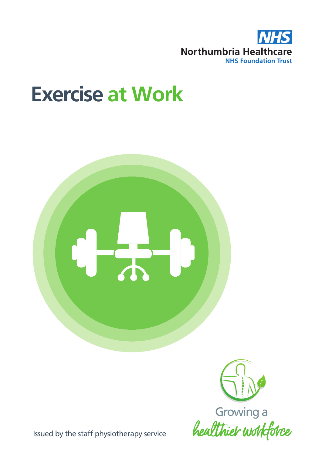

# **Exercise at Work**



Issued by the staff physiotherapy service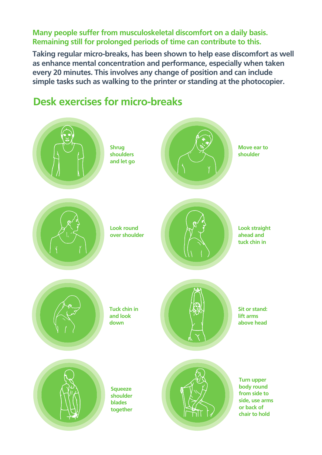**Many people suffer from musculoskeletal discomfort on a daily basis. Remaining still for prolonged periods of time can contribute to this.**

**Taking regular micro-breaks, has been shown to help ease discomfort as well as enhance mental concentration and performance, especially when taken every 20 minutes. This involves any change of position and can include simple tasks such as walking to the printer or standing at the photocopier.** 



## **Desk exercises for micro-breaks**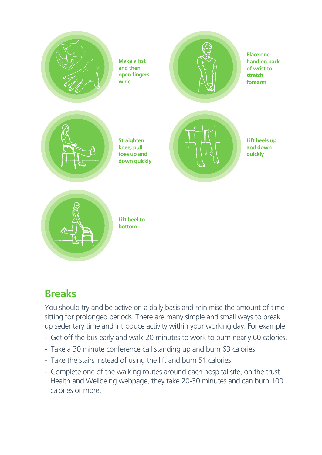

## **Breaks**

You should try and be active on a daily basis and minimise the amount of time sitting for prolonged periods. There are many simple and small ways to break up sedentary time and introduce activity within your working day. For example:

- Get off the bus early and walk 20 minutes to work to burn nearly 60 calories.
- Take a 30 minute conference call standing up and burn 63 calories.
- Take the stairs instead of using the lift and burn 51 calories.
- Complete one of the walking routes around each hospital site, on the trust Health and Wellbeing webpage, they take 20-30 minutes and can burn 100 calories or more.